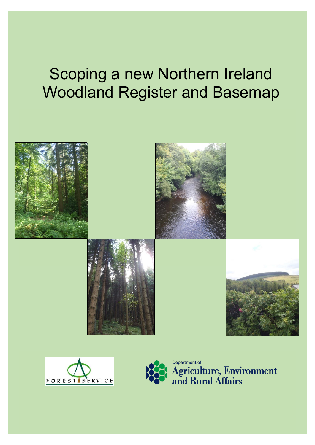## Scoping a new Northern Ireland Woodland Register and Basemap





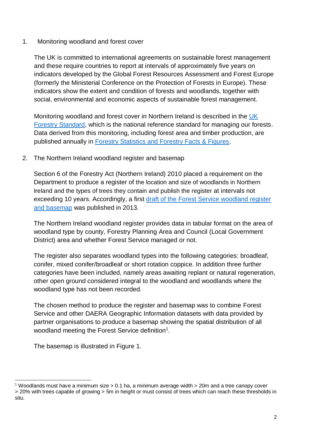## 1. Monitoring woodland and forest cover

The UK is committed to international agreements on sustainable forest management and these require countries to report at intervals of approximately five years on indicators developed by the Global Forest Resources Assessment and Forest Europe (formerly the Ministerial Conference on the Protection of Forests in Europe). These indicators show the extent and condition of forests and woodlands, together with social, environmental and economic aspects of sustainable forest management.

Monitoring woodland and forest cover in Northern Ireland is described in the [UK](https://www.gov.uk/government/publications/the-uk-forestry-standard)  [Forestry Standard,](https://www.gov.uk/government/publications/the-uk-forestry-standard) which is the national reference standard for managing our forests. Data derived from this monitoring, including forest area and timber production, are published annually in [Forestry Statistics and Forestry Facts & Figures.](https://www.forestresearch.gov.uk/tools-and-resources/statistics/forestry-statistics/)

## 2. The Northern Ireland woodland register and basemap

Section 6 of the Forestry Act (Northern Ireland) 2010 placed a requirement on the Department to produce a register of the location and size of woodlands in Northern Ireland and the types of trees they contain and publish the register at intervals not exceeding 10 years. Accordingly, a first [draft of the Forest Service](https://www.daera-ni.gov.uk/articles/forest-service-woodland-register) woodland register [and basemap](https://www.daera-ni.gov.uk/articles/forest-service-woodland-register) was published in 2013.

The Northern Ireland woodland register provides data in tabular format on the area of woodland type by county, Forestry Planning Area and Council (Local Government District) area and whether Forest Service managed or not.

The register also separates woodland types into the following categories: broadleaf, conifer, mixed conifer/broadleaf or short rotation coppice. In addition three further categories have been included, namely areas awaiting replant or natural regeneration, other open ground considered integral to the woodland and woodlands where the woodland type has not been recorded.

The chosen method to produce the register and basemap was to combine Forest Service and other DAERA Geographic Information datasets with data provided by partner organisations to produce a basemap showing the spatial distribution of all woodland meeting the Forest Service definition<sup>1</sup>.

The basemap is illustrated in Figure 1.

l

<sup>&</sup>lt;sup>1</sup> Woodlands must have a minimum size  $> 0.1$  ha, a minimum average width  $> 20$ m and a tree canopy cover > 20% with trees capable of growing > 5m in height or must consist of trees which can reach these thresholds in situ.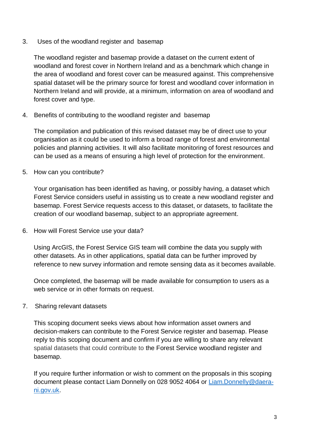3. Uses of the woodland register and basemap

The woodland register and basemap provide a dataset on the current extent of woodland and forest cover in Northern Ireland and as a benchmark which change in the area of woodland and forest cover can be measured against. This comprehensive spatial dataset will be the primary source for forest and woodland cover information in Northern Ireland and will provide, at a minimum, information on area of woodland and forest cover and type.

4. Benefits of contributing to the woodland register and basemap

The compilation and publication of this revised dataset may be of direct use to your organisation as it could be used to inform a broad range of forest and environmental policies and planning activities. It will also facilitate monitoring of forest resources and can be used as a means of ensuring a high level of protection for the environment.

5. How can you contribute?

Your organisation has been identified as having, or possibly having, a dataset which Forest Service considers useful in assisting us to create a new woodland register and basemap. Forest Service requests access to this dataset, or datasets, to facilitate the creation of our woodland basemap, subject to an appropriate agreement.

6. How will Forest Service use your data?

Using ArcGIS, the Forest Service GIS team will combine the data you supply with other datasets. As in other applications, spatial data can be further improved by reference to new survey information and remote sensing data as it becomes available.

Once completed, the basemap will be made available for consumption to users as a web service or in other formats on request.

7. Sharing relevant datasets

This scoping document seeks views about how information asset owners and decision-makers can contribute to the Forest Service register and basemap. Please reply to this scoping document and confirm if you are willing to share any relevant spatial datasets that could contribute to the Forest Service woodland register and basemap.

If you require further information or wish to comment on the proposals in this scoping document please contact Liam Donnelly on 028 9052 4064 or [Liam.Donnelly@daera](mailto:Liam.Donnelly@daera-ni.gov.uk)[ni.gov.uk.](mailto:Liam.Donnelly@daera-ni.gov.uk)